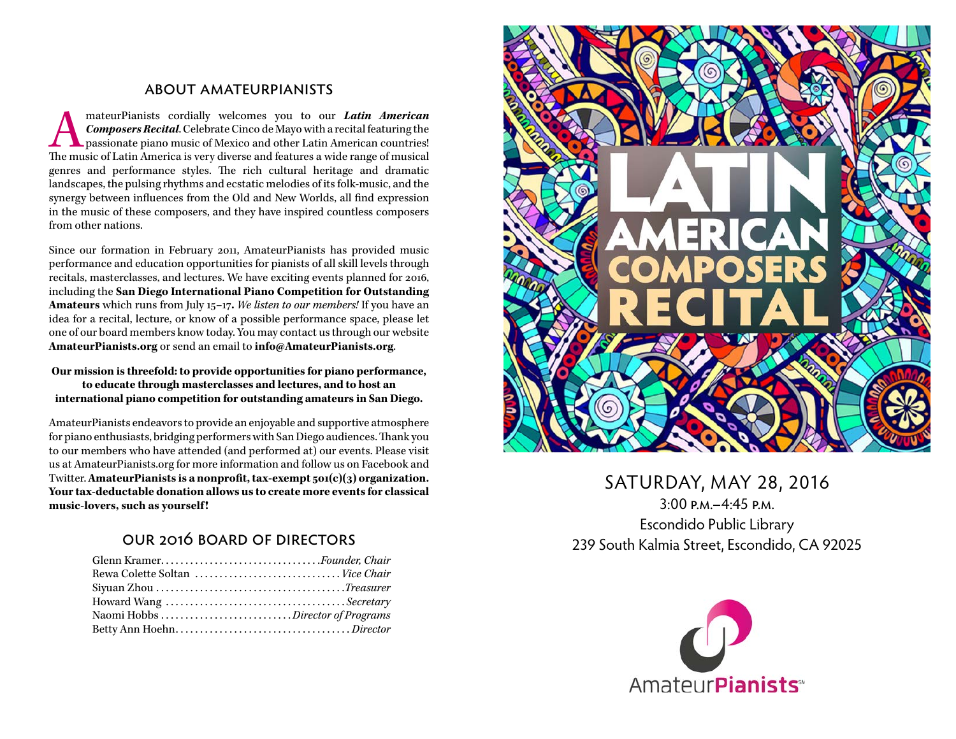#### about amateurpianists

mateurPianists cordially welcomes you to our *Latin American*<br>Composers Recital. Celebrate Cinco de Mayo with a recital featuring the<br>passionate piano music of Mexico and other Latin American countries!<br>The music of Latin *Composers Recital*. Celebrate Cinco de Mayo with a recital featuring the passionate piano music of Mexico and other Latin American countries! The music of Latin America is very diverse and features a wide range of musical genres and performance styles. The rich cultural heritage and dramatic landscapes, the pulsing rhythms and ecstatic melodies of its folk-music, and the synergy between influences from the Old and New Worlds, all find expression in the music of these composers, and they have inspired countless composers from other nations.

Since our formation in February 2011, AmateurPianists has provided music performance and education opportunities for pianists of all skill levels through recitals, masterclasses, and lectures. We have exciting events planned for 2016, including the **San Diego International Piano Competition for Outstanding Amateurs** which runs from July 15–17**.** *We listen to our members!* If you have an idea for a recital, lecture, or know of a possible performance space, please let one of our board members know today. You may contact us through our website **AmateurPianists.org** or send an email to **info@AmateurPianists.org**.

#### **Our mission is threefold: to provide opportunities for piano performance, to educate through masterclasses and lectures, and to host an international piano competition for outstanding amateurs in San Diego.**

AmateurPianists endeavors to provide an enjoyable and supportive atmosphere for piano enthusiasts, bridging performers with San Diego audiences. Thank you to our members who have attended (and performed at) our events. Please visit us at AmateurPianists.org for more information and follow us on Facebook and Twitter. **AmateurPianists is a nonprofit, tax-exempt 501(c)(3) organization. Your tax-deductable donation allows us to create more events for classical music-lovers, such as yourself !**

#### our 2016 board of directors

| Howard Wang Secretary |
|-----------------------|
|                       |
|                       |



## SATURDAY, MAY 28, 2016 3:00 p.m.–4:45 p.m. Escondido Public Library 239 South Kalmia Street, Escondido, CA 92025